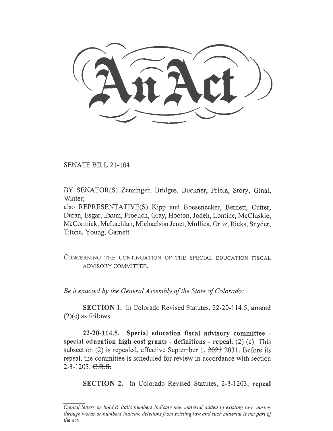SENATE BILL 21-104

BY SENATOR(S) Zenzinger, Bridges, Buckner, Priola, Story, Ginal, Winter;

also REPRESENTATIVE(S) Kipp and Boesenecker, Bernett, Cutter, Duran, Esgar, Exum, Froelich, Gray, Hooton, Jodeh, Lontine, McCluskie, McCormick, McLachlan, Michaelson Jenet, Mullica, Ortiz, Ricks, Snyder, Titone, Young, Garnett.

CONCERNING THE CONTINUATION OF THE SPECIAL EDUCATION FISCAL ADVISORY COMMITTEE.

Be it enacted by the General Assembly of the State of Colorado:

SECTION 1. In Colorado Revised Statutes, 22-20-114.5, amend  $(2)(c)$  as follows:

22-20-114.5. Special education fiscal advisory committee special education high-cost grants - definitions - repeal.  $(2)$   $(c)$  This subsection (2) is repealed, effective September 1,  $2021$ - 2031. Before its repeal, the committee is scheduled for review in accordance with section  $2-3-1203. \text{ } \in \text{ } \mathbb{R} \text{ } \text{ } \mathbb{S}$ .

SECTION 2. In Colorado Revised Statutes, 2-3-1203, repeal

 $\overline{Capital}$  letters or bold  $\&$  italic numbers indicate new material added to existing law; dashes through words or numbers indicate deletions from existing law and such material is not part of the act.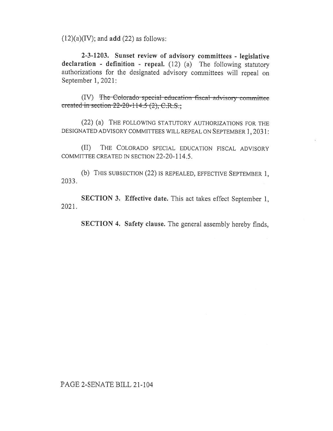$(12)(a)(IV)$ ; and **add**  $(22)$  as follows:

2-3-1203. Sunset review of advisory committees - legislative declaration - definition - repeal. (12) (a) The following statutory authorizations for the designated advisory committees will repeal on September 1, 2021:

 $(IV)$  The Colorado special education fiscal advisory created in section  $22 - 20 - 114.5$  (2), C.R.S.;

(22) (a) THE FOLLOWING STATUTORY AUTHORIZATIONS FOR THE DESIGNATED ADVISORY COMMITTEES WILL REPEAL ON SEPTEMBER 1, 2031:

(II) THE COLORADO SPECIAL EDUCATION FISCAL ADVISORY COMMITTEE CREATED IN SECTION 22-20-114.5.

2033. (b) THIS SUBSECTION (22) IS REPEALED, EFFECTIVE SEPTEMBER 1,

2021. SECTION 3. Effective date. This act takes effect September 1,

SECTION 4. Safety clause. The general assembly hereby finds,